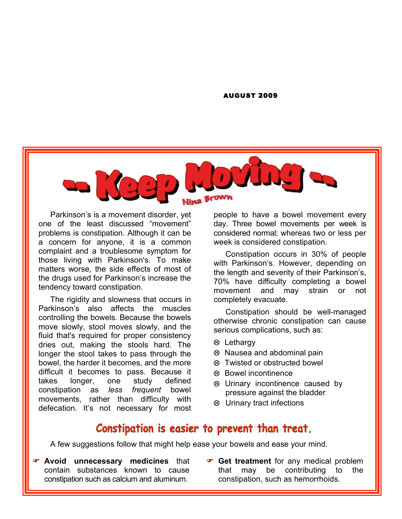#### AUGUST 2009



Parkinson's is a movement disorder, yet one of the least discussed "movement" problems is constipation. Although it can be a concern for anyone, it is a common complaint and a troublesome symptom for those living with Parkinson's. To make matters worse, the side effects of most of the drugs used for Parkinson's increase the tendency toward constipation.

The rigidity and slowness that occurs in Parkinson's also affects the muscles controlling the bowels. Because the bowels move slowly, stool moves slowly, and the fluid that's required for proper consistency dries out, making the stools hard. The longer the stool takes to pass through the bowel, the harder it becomes, and the more difficult it becomes to pass. Because it takes longer, one study defined constipation as *less frequent* bowel movements, rather than difficulty with defecation. It's not necessary for most

people to have a bowel movement every day. Three bowel movements per week is considered normal; whereas two or less per week is considered constipation.

Constipation occurs in 30% of people with Parkinson's. However, depending on the length and severity of their Parkinson's, 70% have difficulty completing a bowel movement and may strain or not completely evacuate.

Constipation should be well-managed otherwise chronic constipation can cause serious complications, such as:

- Lethargy
- Nausea and abdominal pain
- Twisted or obstructed bowel
- Bowel incontinence
- Urinary incontinence caused by pressure against the bladder
- Urinary tract infections

#### Constipation is easier to prevent than treat.

A few suggestions follow that might help ease your bowels and ease your mind.

- **Avoid unnecessary medicines** that contain substances known to cause constipation such as calcium and aluminum.
- **Get treatment** for any medical problem that may be contributing to the constipation, such as hemorrhoids.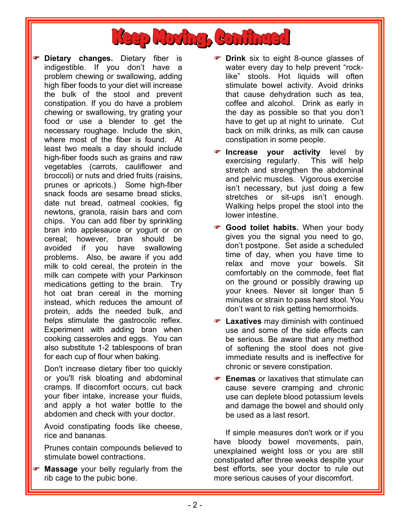

**P** Dietary changes. Dietary fiber is indigestible. If you don't have a problem chewing or swallowing, adding high fiber foods to your diet will increase the bulk of the stool and prevent constipation. If you do have a problem chewing or swallowing, try grating your food or use a blender to get the necessary roughage. Include the skin, where most of the fiber is found. At least two meals a day should include high-fiber foods such as grains and raw vegetables (carrots, cauliflower and broccoli) or nuts and dried fruits (raisins, prunes or apricots.) Some high-fiber snack foods are sesame bread sticks, date nut bread, oatmeal cookies, fig newtons, granola, raisin bars and corn chips. You can add fiber by sprinkling bran into applesauce or yogurt or on cereal; however, bran should be avoided if you have swallowing problems. Also, be aware if you add milk to cold cereal, the protein in the milk can compete with your Parkinson medications getting to the brain. Try hot oat bran cereal in the morning instead, which reduces the amount of protein, adds the needed bulk, and helps stimulate the gastrocolic reflex. Experiment with adding bran when cooking casseroles and eggs. You can also substitute 1-2 tablespoons of bran for each cup of flour when baking.

Don't increase dietary fiber too quickly or you'll risk bloating and abdominal cramps. If discomfort occurs, cut back your fiber intake, increase your fluids, and apply a hot water bottle to the abdomen and check with your doctor.

Avoid constipating foods like cheese, rice and bananas.

Prunes contain compounds believed to stimulate bowel contractions.

**Massage** your belly regularly from the rib cage to the pubic bone.

- **Prink** six to eight 8-ounce glasses of water every day to help prevent "rocklike" stools. Hot liquids will often stimulate bowel activity. Avoid drinks that cause dehydration such as tea, coffee and alcohol. Drink as early in the day as possible so that you don't have to get up at night to urinate. Cut back on milk drinks, as milk can cause constipation in some people.
- **P** Increase your activity level by exercising regularly. This will help stretch and strengthen the abdominal and pelvic muscles. Vigorous exercise isn't necessary, but just doing a few stretches or sit-ups isn't enough. Walking helps propel the stool into the lower intestine.
- **Good toilet habits.** When your body gives you the signal you need to go, don't postpone. Set aside a scheduled time of day, when you have time to relax and move your bowels. Sit comfortably on the commode, feet flat on the ground or possibly drawing up your knees. Never sit longer than 5 minutes or strain to pass hard stool. You don't want to risk getting hemorrhoids.
- **Laxatives** may diminish with continued use and some of the side effects can be serious. Be aware that any method of softening the stool does not give immediate results and is ineffective for chronic or severe constipation.
- **Enemas** or laxatives that stimulate can cause severe cramping and chronic use can deplete blood potassium levels and damage the bowel and should only be used as a last resort.

If simple measures don't work or if you have bloody bowel movements, pain, unexplained weight loss or you are still constipated after three weeks despite your best efforts, see your doctor to rule out more serious causes of your discomfort.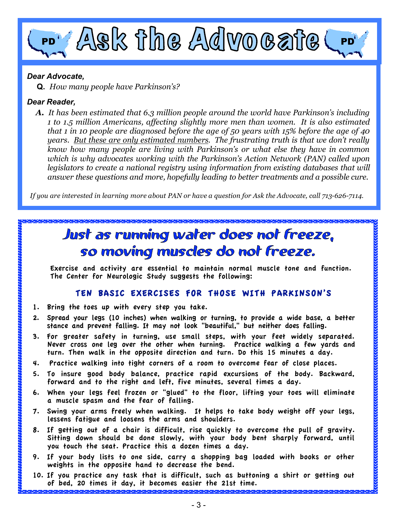# PD ASK The Advocate

#### *Dear Advocate,*

 **Q.** *How many people have Parkinson's?*

#### *Dear Reader,*

*A. It has been estimated that 6.3 million people around the world have Parkinson's including 1 to 1.5 million Americans, affecting slightly more men than women. It is also estimated that 1 in 10 people are diagnosed before the age of 50 years with 15% before the age of 40 years. But these are only estimated numbers. The frustrating truth is that we don't really know how many people are living with Parkinson's or what else they have in common which is why advocates working with the Parkinson's Action Network (PAN) called upon legislators to create a national registry using information from existing databases that will answer these questions and more, hopefully leading to better treatments and a possible cure.* 

 *If you are interested in learning more about PAN or have a question for Ask the Advocate, call 713-626-7114.*

### Just as running water does not freeze, so moving muscles do not freeze.

Exercise and activity are essential to maintain normal muscle tone and function. The Center for Neurologic Study suggests the following:

#### TEN BASIC EXERCISES FOR THOSE WITH PARKINSON'S

- 1. Bring the toes up with every step you take.
- 2. Spread your legs (10 inches) when walking or turning, to provide a wide base, a better stance and prevent falling. It may not look "beautiful," but neither does falling.
- 3. For greater safety in turning, use small steps, with your feet widely separated. Never cross one leg over the other when turning. Practice walking a few yards and turn. Then walk in the opposite direction and turn. Do this 15 minutes a day.
- 4. Practice walking into tight corners of a room to overcome fear of close places.
- 5. To insure good body balance, practice rapid excursions of the body. Backward, forward and to the right and left, five minutes, several times a day.
- 6. When your legs feel frozen or "glued" to the floor, lifting your toes will eliminate a muscle spasm and the fear of falling.
- 7. Swing your arms freely when walking. It helps to take body weight off your legs, lessens fatigue and loosens the arms and shoulders.
- 8. If getting out of a chair is difficult, rise quickly to overcome the pull of gravity. Sitting down should be done slowly, with your body bent sharply forward, until you touch the seat. Practice this a dozen times a day.
- 9. If your body lists to one side, carry a shopping bag loaded with books or other weights in the opposite hand to decrease the bend.
- 10. If you practice any task that is difficult, such as buttoning a shirt or getting out of bed, 20 times it day, it becomes easier the 21st time.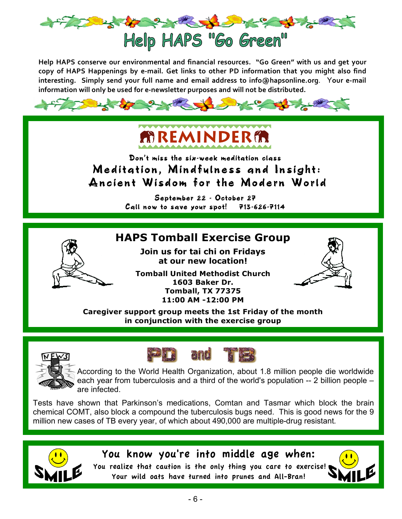

Help HAPS conserve our environmental and financial resources. "Go Green" with us and get your copy of HAPS Happenings by e-mail. Get links to other PD information that you might also find interesting. Simply send your full name and email address to info@hapsonline.org. Your e-mail information will only be used for e-newsletter purposes and will not be distributed.

**AREMINDERA** Don't miss the six-week meditation class Meditation, Mindfulness and Insight: Ancient Wisdom for the Modern World September 22 - October 27 Call now to save your spot! 713-626-7114 **HAPS Tomball Exercise Group Join us for tai chi on Fridays at our new location! Tomball United Methodist Church 1603 Baker Dr. Tomball, TX 77375 11:00 AM -12:00 PM Caregiver support group meets the 1st Friday of the month in conjunction with the exercise group** According to the World Health Organization, about 1.8 million people die worldwide each year from tuberculosis and a third of the world's population -- 2 billion people – are infected.

Tests have shown that Parkinson's medications, Comtan and Tasmar which block the brain chemical COMT, also block a compound the tuberculosis bugs need. This is good news for the 9 million new cases of TB every year, of which about 490,000 are multiple-drug resistant.



You realize that caution is the only thing you care to exercise! Your wild oats have turned into prunes and All-Bran!

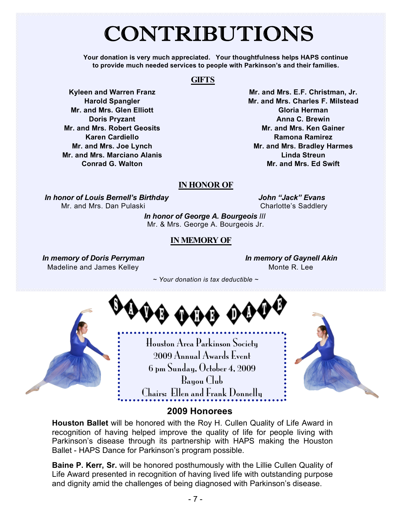## CONTRIBUTIONS

**Your donation is very much appreciated. Your thoughtfulness helps HAPS continue to provide much needed services to people with Parkinson's and their families.**

#### **GIFTS**

**Kyleen and Warren Franz Harold Spangler Mr. and Mrs. Glen Elliott Doris Pryzant Mr. and Mrs. Robert Geosits Karen Cardiello Mr. and Mrs. Joe Lynch Mr. and Mrs. Marciano Alanis Conrad G. Walton**

**Mr. and Mrs. E.F. Christman, Jr. Mr. and Mrs. Charles F. Milstead Gloria Herman Anna C. Brewin Mr. and Mrs. Ken Gainer Ramona Ramirez Mr. and Mrs. Bradley Harmes Linda Streun Mr. and Mrs. Ed Swift**

#### **IN HONOR OF**

*In honor of Louis Bernell's Birthday* Mr. and Mrs. Dan Pulaski

*John "Jack" Evans* Charlotte's Saddlery

 *In honor of George A. Bourgeois III* Mr. & Mrs. George A. Bourgeois Jr.

#### **IN MEMORY OF**

*In memory of Doris Perryman* Madeline and James Kelley

*In memory of Gaynell Akin* Monte R. Lee

 *~ Your donation is tax deductible ~*



#### **2009 Honorees**

**Houston Ballet** will be honored with the Roy H. Cullen Quality of Life Award in recognition of having helped improve the quality of life for people living with Parkinson's disease through its partnership with HAPS making the Houston Ballet - HAPS Dance for Parkinson's program possible.

**Baine P. Kerr, Sr.** will be honored posthumously with the Lillie Cullen Quality of Life Award presented in recognition of having lived life with outstanding purpose and dignity amid the challenges of being diagnosed with Parkinson's disease.